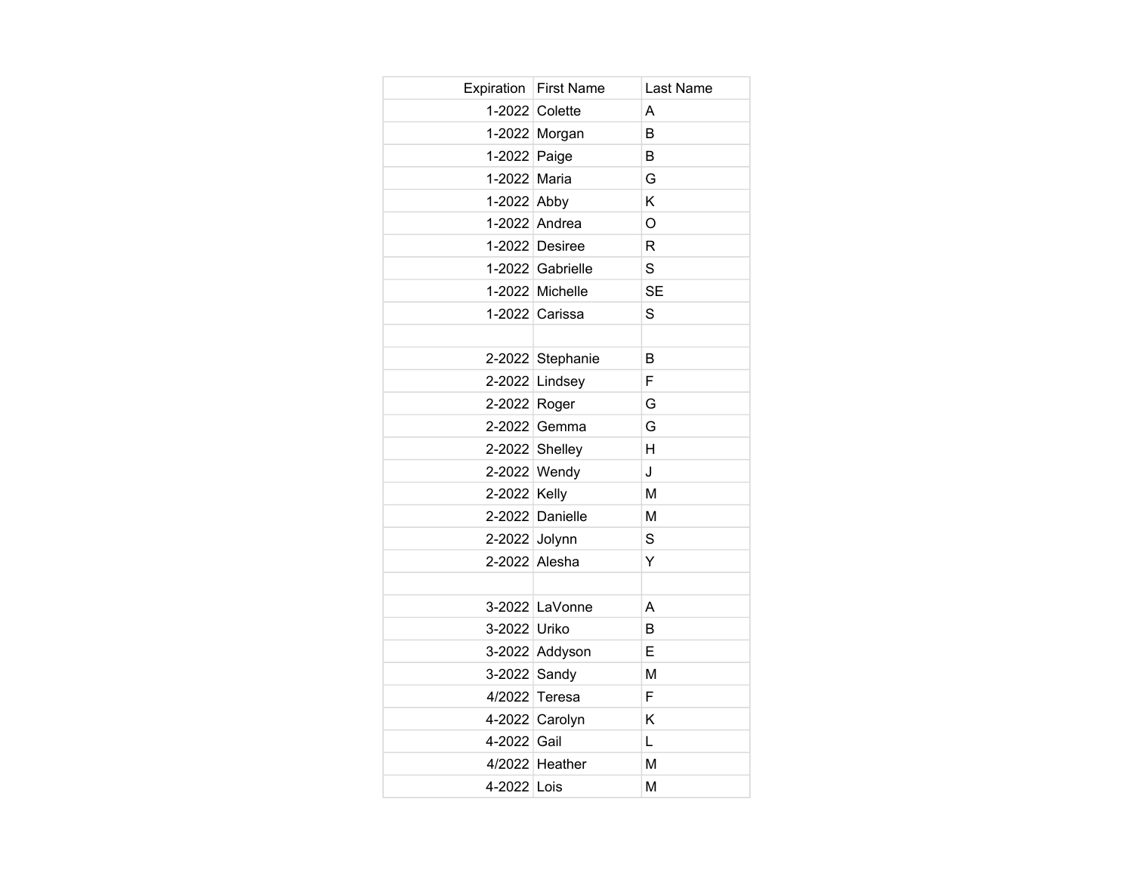|               | Expiration   First Name | Last Name |
|---------------|-------------------------|-----------|
|               | 1-2022 Colette          | A         |
|               | 1-2022 Morgan           | B         |
| 1-2022 Paige  |                         | B         |
| 1-2022 Maria  |                         | G         |
| 1-2022 Abby   |                         | Κ         |
|               | 1-2022 Andrea           | O         |
|               | 1-2022 Desiree          | R         |
|               | 1-2022 Gabrielle        | S         |
|               | 1-2022 Michelle         | <b>SE</b> |
|               | 1-2022 Carissa          | S         |
|               |                         |           |
|               | 2-2022 Stephanie        | B         |
|               | 2-2022 Lindsey          | F         |
| 2-2022 Roger  |                         | G         |
|               | 2-2022 Gemma            | G         |
|               | 2-2022 Shelley          | H         |
|               | 2-2022 Wendy            | J         |
| 2-2022 Kelly  |                         | M         |
|               | 2-2022 Danielle         | M         |
| 2-2022 Jolynn |                         | S         |
|               | 2-2022 Alesha           | Ÿ         |
|               |                         |           |
|               | 3-2022 LaVonne          | A         |
| 3-2022 Uriko  |                         | B         |
|               | 3-2022 Addyson          | E         |
| 3-2022 Sandy  |                         | M         |
|               | 4/2022 Teresa           | F         |
|               | 4-2022 Carolyn          | Κ         |
| 4-2022 Gail   |                         | L         |
|               | 4/2022 Heather          | M         |
| 4-2022 Lois   |                         | M         |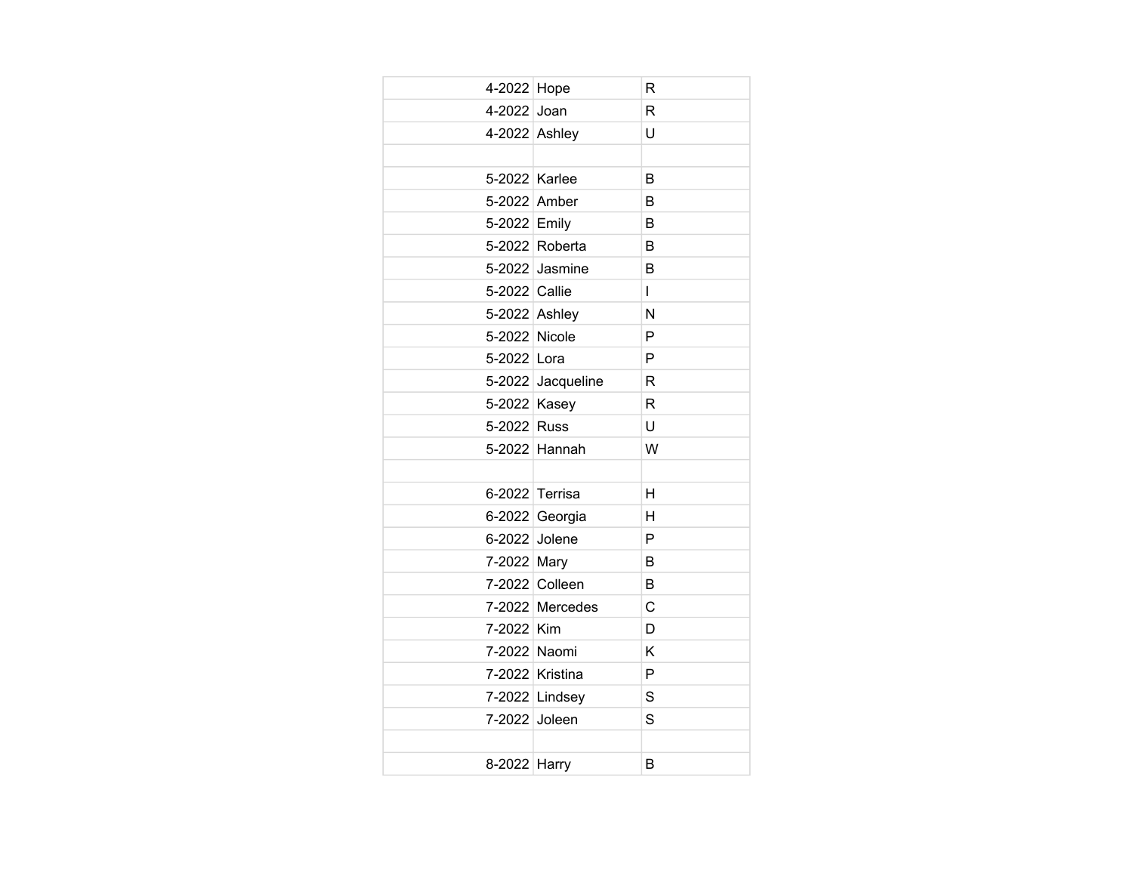| 4-2022 Hope   |                   | R              |
|---------------|-------------------|----------------|
| 4-2022 Joan   |                   | R              |
| 4-2022 Ashley |                   | U              |
|               |                   |                |
| 5-2022 Karlee |                   | B              |
| 5-2022 Amber  |                   | B              |
| 5-2022 Emily  |                   | B              |
|               | 5-2022 Roberta    | B              |
|               | 5-2022 Jasmine    | B              |
| 5-2022 Callie |                   | $\overline{1}$ |
| 5-2022 Ashley |                   | N              |
| 5-2022 Nicole |                   | P              |
| 5-2022 Lora   |                   | P              |
|               | 5-2022 Jacqueline | R              |
| 5-2022 Kasey  |                   | R              |
| 5-2022 Russ   |                   | U              |
|               | 5-2022 Hannah     | W              |
|               |                   |                |
|               | 6-2022 Terrisa    | H              |
|               | 6-2022 Georgia    | н              |
| 6-2022 Jolene |                   | P              |
| 7-2022 Mary   |                   | B              |
|               | 7-2022 Colleen    | B              |
|               | 7-2022 Mercedes   | C              |
| 7-2022 Kim    |                   | D              |
| 7-2022 Naomi  |                   | K              |
|               | 7-2022 Kristina   | P              |
|               | 7-2022 Lindsey    | S              |
| 7-2022 Joleen |                   | S              |
|               |                   |                |
| 8-2022 Harry  |                   | B              |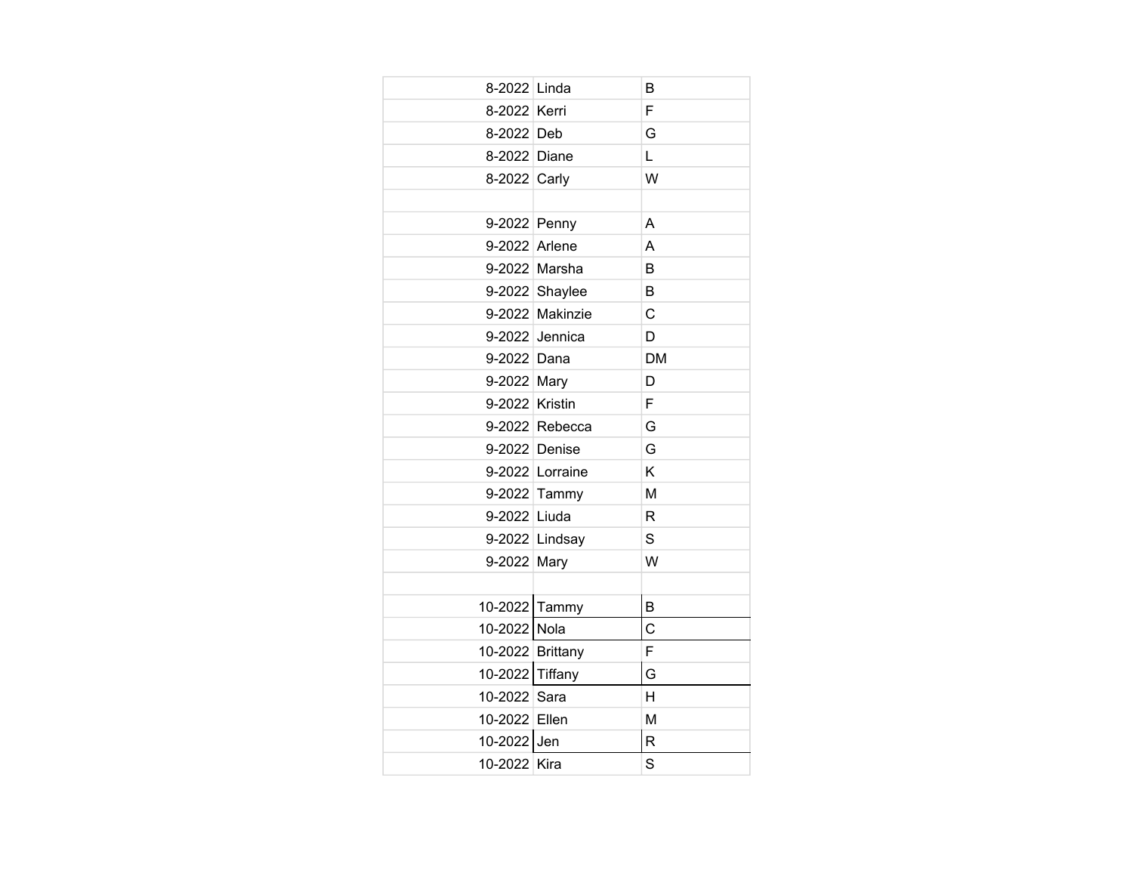| 8-2022 Linda     |                 | B              |
|------------------|-----------------|----------------|
| 8-2022 Kerri     |                 | F              |
| 8-2022 Deb       |                 | G              |
| 8-2022           | Diane           | L              |
| 8-2022 Carly     |                 | W              |
|                  |                 |                |
| 9-2022 Penny     |                 | A              |
| 9-2022           | Arlene          | A              |
|                  | 9-2022 Marsha   | B              |
|                  | 9-2022 Shaylee  | B              |
|                  | 9-2022 Makinzie | C              |
|                  | 9-2022 Jennica  | D              |
| 9-2022 Dana      |                 | <b>DM</b>      |
| 9-2022           | Mary            | D              |
| 9-2022 Kristin   |                 | F              |
|                  | 9-2022 Rebecca  | G              |
| 9-2022 Denise    |                 | G              |
|                  | 9-2022 Lorraine | Κ              |
| 9-2022           | Tammy           | M              |
| 9-2022 Liuda     |                 | R              |
|                  | 9-2022 Lindsay  | S              |
| 9-2022 Mary      |                 | W              |
|                  |                 |                |
| 10-2022          | Tammy           | B              |
| 10-2022          | Nola            | $\overline{C}$ |
| 10-2022 Brittany |                 | F              |
| 10-2022          | Tiffany         | G              |
| 10-2022          | Sara            | H              |
| 10-2022          | Ellen           | M              |
| 10-2022          | Jen             | R              |
| 10-2022 Kira     |                 | S              |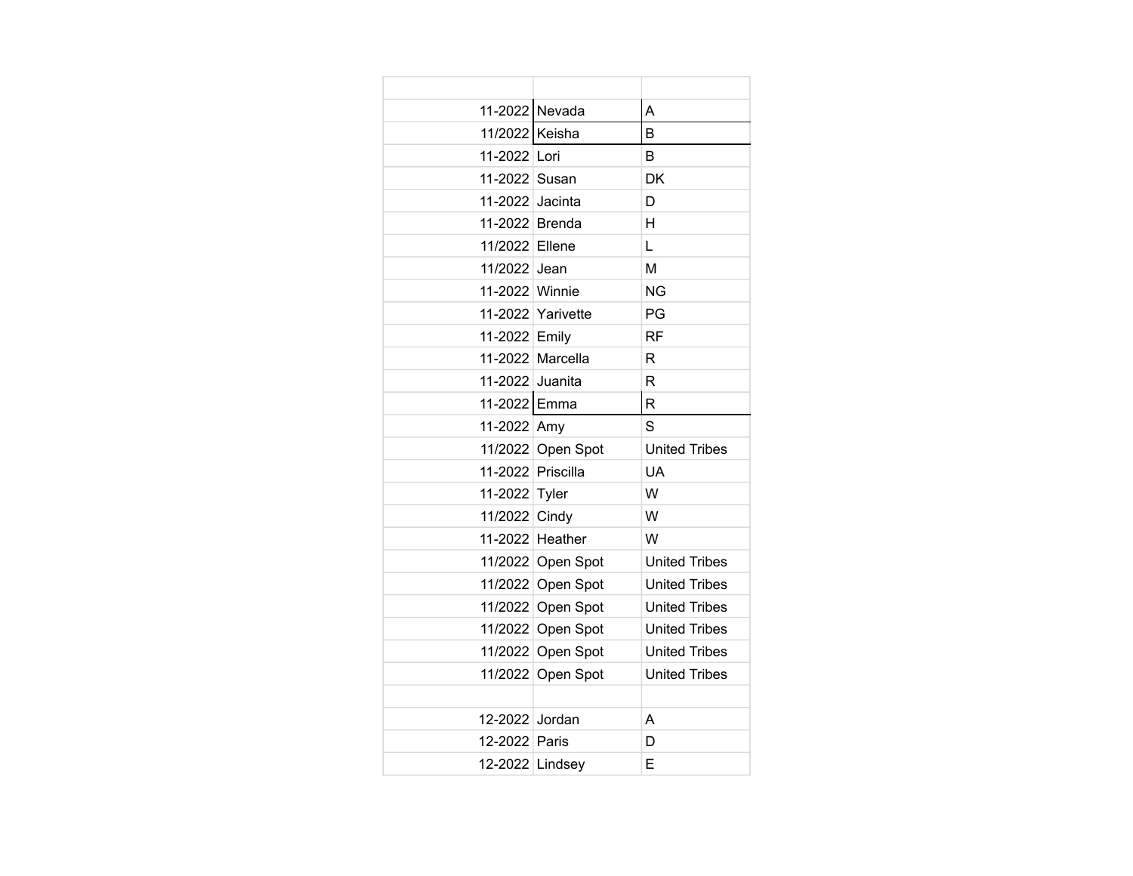| 11-2022 Nevada    |                   | A                    |
|-------------------|-------------------|----------------------|
| 11/2022           | Keisha            | В                    |
| 11-2022 Lori      |                   | B                    |
| 11-2022 Susan     |                   | <b>DK</b>            |
| 11-2022           | Jacinta           | D                    |
| 11-2022 Brenda    |                   | H                    |
| 11/2022 Ellene    |                   | L                    |
| 11/2022           | Jean              | M                    |
| 11-2022 Winnie    |                   | <b>NG</b>            |
|                   | 11-2022 Yarivette | PG                   |
| 11-2022 Emily     |                   | <b>RF</b>            |
|                   | 11-2022 Marcella  | R                    |
| 11-2022 Juanita   |                   | R                    |
| 11-2022 Emma      |                   | R                    |
| 11-2022 Amy       |                   | S                    |
|                   | 11/2022 Open Spot | <b>United Tribes</b> |
| 11-2022 Priscilla |                   | UA                   |
| 11-2022           | Tyler             | W                    |
| 11/2022 Cindy     |                   | W                    |
|                   | 11-2022 Heather   | W                    |
|                   | 11/2022 Open Spot | <b>United Tribes</b> |
|                   | 11/2022 Open Spot | <b>United Tribes</b> |
|                   | 11/2022 Open Spot | <b>United Tribes</b> |
|                   | 11/2022 Open Spot | <b>United Tribes</b> |
|                   | 11/2022 Open Spot | <b>United Tribes</b> |
|                   | 11/2022 Open Spot | <b>United Tribes</b> |
|                   |                   |                      |
| 12-2022 Jordan    |                   | A                    |
| 12-2022 Paris     |                   | D                    |
| 12-2022 Lindsey   |                   | E                    |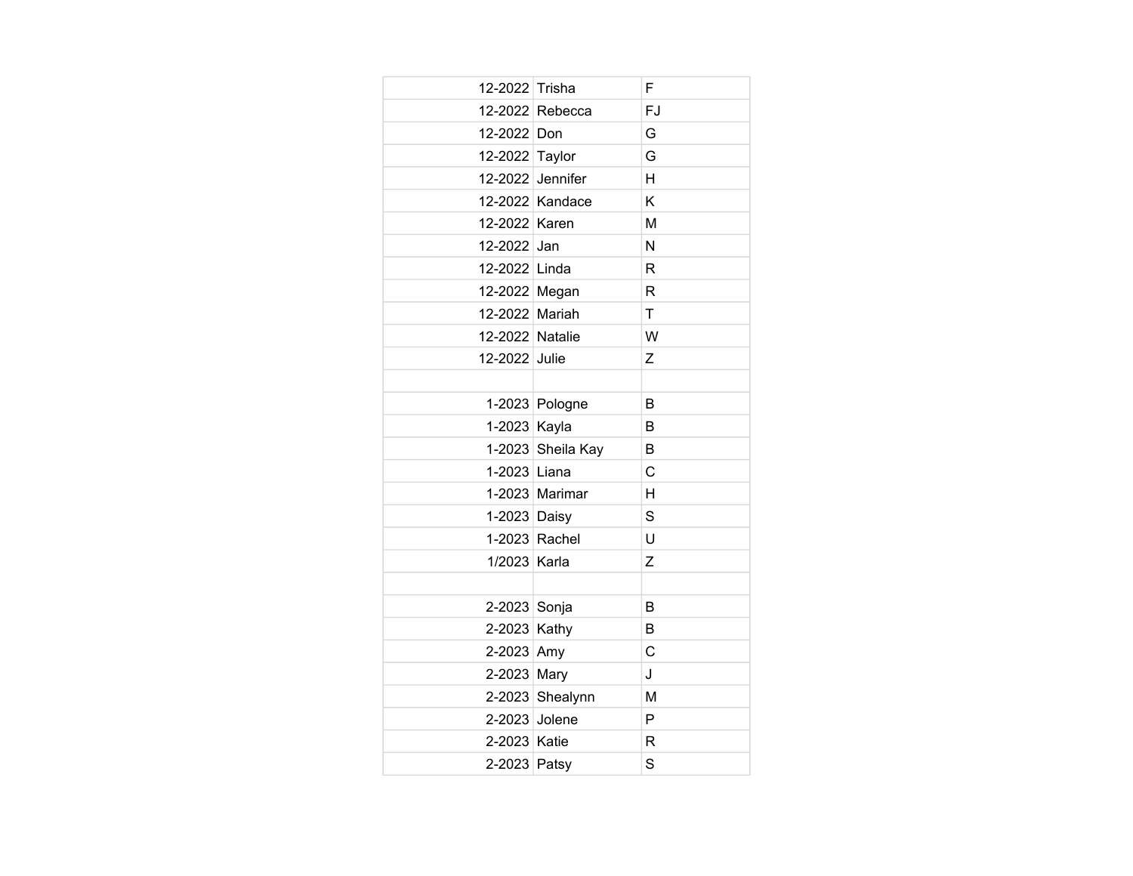| 12-2022 Trisha  |                   | F            |
|-----------------|-------------------|--------------|
|                 | 12-2022 Rebecca   | FJ           |
| 12-2022 Don     |                   | G            |
| 12-2022 Taylor  |                   | G            |
|                 | 12-2022 Jennifer  | H            |
|                 | 12-2022 Kandace   | Κ            |
| 12-2022 Karen   |                   | M            |
| 12-2022 Jan     |                   | N            |
| 12-2022 Linda   |                   | R            |
| 12-2022 Megan   |                   | $\mathsf{R}$ |
| 12-2022 Mariah  |                   | T            |
| 12-2022 Natalie |                   | W            |
| 12-2022 Julie   |                   | Z            |
|                 |                   |              |
|                 | 1-2023 Pologne    | B            |
| 1-2023 Kayla    |                   | B            |
|                 | 1-2023 Sheila Kay | B            |
| 1-2023 Liana    |                   | C            |
|                 | 1-2023 Marimar    | H            |
| 1-2023 Daisy    |                   | S            |
|                 | 1-2023 Rachel     | U            |
| 1/2023 Karla    |                   | Z            |
|                 |                   |              |
| 2-2023 Sonja    |                   | B            |
| 2-2023 Kathy    |                   | B            |
| 2-2023 Amy      |                   | C            |
| 2-2023 Mary     |                   | J            |
|                 | 2-2023 Shealynn   | M            |
| 2-2023 Jolene   |                   | P            |
| 2-2023 Katie    |                   | R            |
| 2-2023 Patsy    |                   | S            |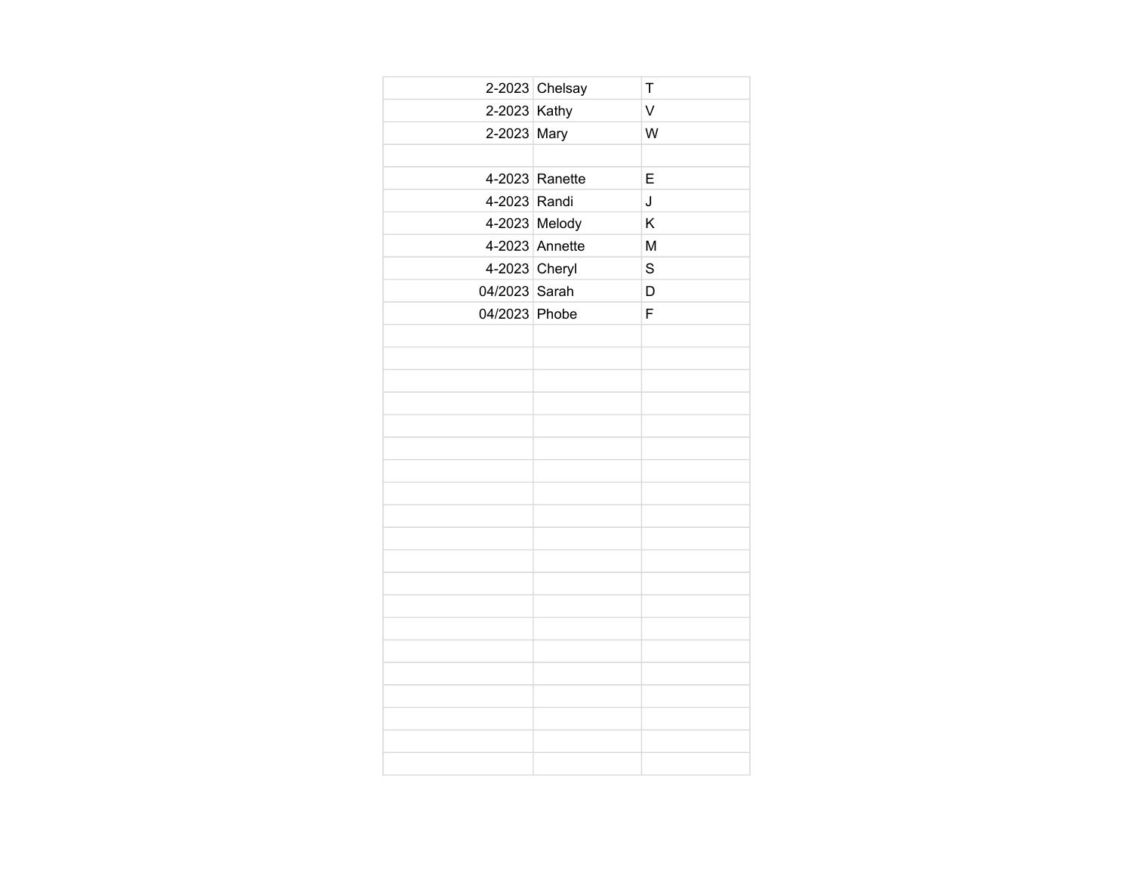|               | $2-2023$ Chelsay | T      |
|---------------|------------------|--------|
| 2-2023 Kathy  |                  | $\vee$ |
| 2-2023 Mary   |                  | W      |
|               |                  |        |
|               | 4-2023 Ranette   | E      |
| 4-2023 Randi  |                  | J      |
|               | 4-2023 Melody    | K      |
|               | 4-2023 Annette   | M      |
| 4-2023 Cheryl |                  | S      |
| 04/2023 Sarah |                  | D      |
| 04/2023 Phobe |                  | F      |
|               |                  |        |
|               |                  |        |
|               |                  |        |
|               |                  |        |
|               |                  |        |
|               |                  |        |
|               |                  |        |
|               |                  |        |
|               |                  |        |
|               |                  |        |
|               |                  |        |
|               |                  |        |
|               |                  |        |
|               |                  |        |
|               |                  |        |
|               |                  |        |
|               |                  |        |
|               |                  |        |
|               |                  |        |
|               |                  |        |